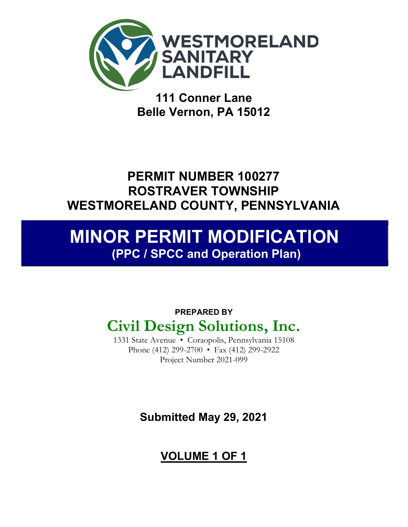

111 Conner Lane Belle Vernon, PA 15012

## PERMIT NUMBER 100277 ROSTRAVER TOWNSHIP WESTMORELAND COUNTY, PENNSYLVANIA

## MINOR PERMIT MODIFICATION (PPC / SPCC and Operation Plan)

## PREPARED BY Civil Design Solutions, Inc.

1331 State Avenue • Coraopolis, Pennsylvania 15108 Phone (412) 299-2700 • Fax (412) 299-2922 Project Number 2021-099

Submitted May 29, 2021

## VOLUME 1 OF 1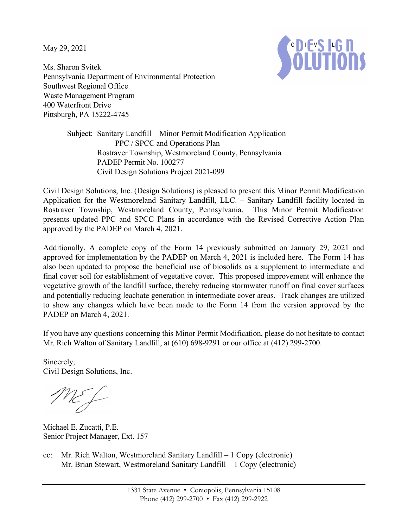May 29, 2021



Ms. Sharon Svitek Pennsylvania Department of Environmental Protection Southwest Regional Office Waste Management Program 400 Waterfront Drive Pittsburgh, PA 15222-4745

> Subject: Sanitary Landfill – Minor Permit Modification Application PPC / SPCC and Operations Plan Rostraver Township, Westmoreland County, Pennsylvania PADEP Permit No. 100277 Civil Design Solutions Project 2021-099

Civil Design Solutions, Inc. (Design Solutions) is pleased to present this Minor Permit Modification Application for the Westmoreland Sanitary Landfill, LLC. – Sanitary Landfill facility located in Rostraver Township, Westmoreland County, Pennsylvania. This Minor Permit Modification presents updated PPC and SPCC Plans in accordance with the Revised Corrective Action Plan approved by the PADEP on March 4, 2021.

Additionally, A complete copy of the Form 14 previously submitted on January 29, 2021 and approved for implementation by the PADEP on March 4, 2021 is included here. The Form 14 has also been updated to propose the beneficial use of biosolids as a supplement to intermediate and final cover soil for establishment of vegetative cover. This proposed improvement will enhance the vegetative growth of the landfill surface, thereby reducing stormwater runoff on final cover surfaces and potentially reducing leachate generation in intermediate cover areas. Track changes are utilized to show any changes which have been made to the Form 14 from the version approved by the PADEP on March 4, 2021.

If you have any questions concerning this Minor Permit Modification, please do not hesitate to contact Mr. Rich Walton of Sanitary Landfill, at (610) 698-9291 or our office at (412) 299-2700.

Sincerely, Civil Design Solutions, Inc.

ME L

Michael E. Zucatti, P.E. Senior Project Manager, Ext. 157

cc: Mr. Rich Walton, Westmoreland Sanitary Landfill – 1 Copy (electronic) Mr. Brian Stewart, Westmoreland Sanitary Landfill – 1 Copy (electronic)